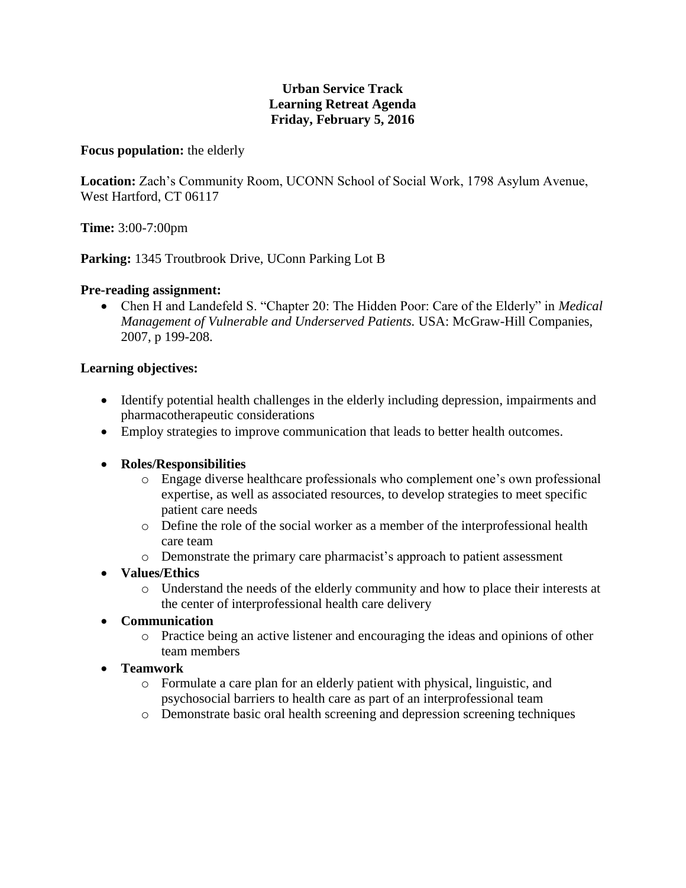## **Urban Service Track Learning Retreat Agenda Friday, February 5, 2016**

#### **Focus population:** the elderly

**Location:** Zach's Community Room, UCONN School of Social Work, 1798 Asylum Avenue, West Hartford, CT 06117

**Time:** 3:00-7:00pm

Parking: 1345 Troutbrook Drive, UConn Parking Lot B

## **Pre-reading assignment:**

 Chen H and Landefeld S. "Chapter 20: The Hidden Poor: Care of the Elderly" in *Medical Management of Vulnerable and Underserved Patients.* USA: McGraw-Hill Companies, 2007, p 199-208.

## **Learning objectives:**

- Identify potential health challenges in the elderly including depression, impairments and pharmacotherapeutic considerations
- Employ strategies to improve communication that leads to better health outcomes.

#### **Roles/Responsibilities**

- o Engage diverse healthcare professionals who complement one's own professional expertise, as well as associated resources, to develop strategies to meet specific patient care needs
- o Define the role of the social worker as a member of the interprofessional health care team
- o Demonstrate the primary care pharmacist's approach to patient assessment
- **Values/Ethics**
	- o Understand the needs of the elderly community and how to place their interests at the center of interprofessional health care delivery
- **Communication**
	- o Practice being an active listener and encouraging the ideas and opinions of other team members
- **Teamwork**
	- o Formulate a care plan for an elderly patient with physical, linguistic, and psychosocial barriers to health care as part of an interprofessional team
	- o Demonstrate basic oral health screening and depression screening techniques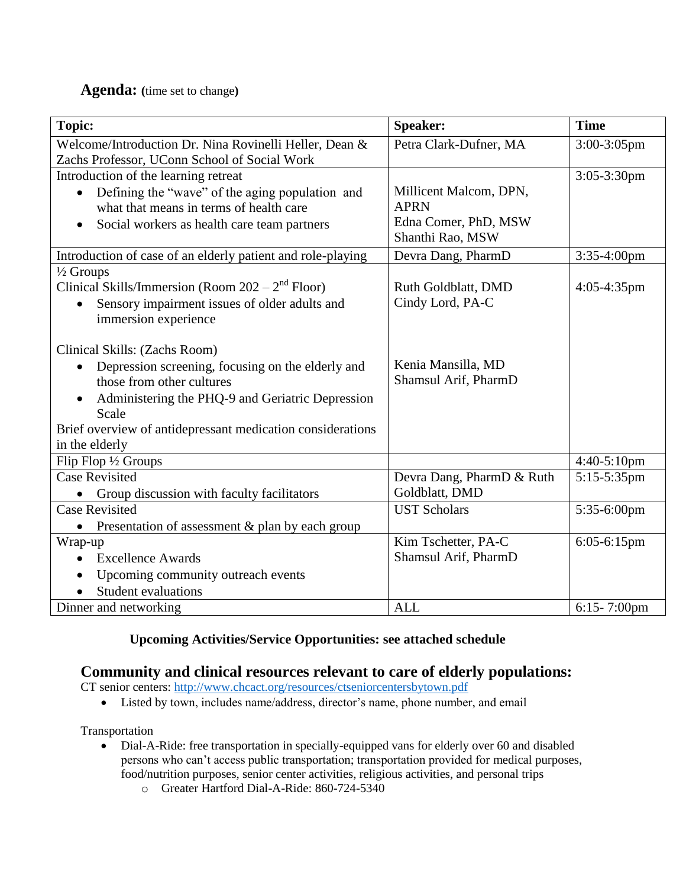# **Agenda: (**time set to change**)**

| <b>Topic:</b>                                                                                          | <b>Speaker:</b>           | <b>Time</b>      |
|--------------------------------------------------------------------------------------------------------|---------------------------|------------------|
| Welcome/Introduction Dr. Nina Rovinelli Heller, Dean &<br>Zachs Professor, UConn School of Social Work | Petra Clark-Dufner, MA    | $3:00-3:05$ pm   |
| Introduction of the learning retreat                                                                   |                           | $3:05-3:30$ pm   |
| Defining the "wave" of the aging population and<br>$\bullet$                                           | Millicent Malcom, DPN,    |                  |
| what that means in terms of health care                                                                | <b>APRN</b>               |                  |
| Social workers as health care team partners<br>$\bullet$                                               | Edna Comer, PhD, MSW      |                  |
|                                                                                                        | Shanthi Rao, MSW          |                  |
| Introduction of case of an elderly patient and role-playing                                            | Devra Dang, PharmD        | $3:35-4:00$ pm   |
| $\frac{1}{2}$ Groups                                                                                   |                           |                  |
| Clinical Skills/Immersion (Room $202 - 2nd$ Floor)                                                     | Ruth Goldblatt, DMD       | $4:05-4:35$ pm   |
| Sensory impairment issues of older adults and                                                          | Cindy Lord, PA-C          |                  |
| immersion experience                                                                                   |                           |                  |
| Clinical Skills: (Zachs Room)                                                                          |                           |                  |
| Depression screening, focusing on the elderly and<br>$\bullet$                                         | Kenia Mansilla, MD        |                  |
| those from other cultures                                                                              | Shamsul Arif, PharmD      |                  |
| Administering the PHQ-9 and Geriatric Depression<br>$\bullet$                                          |                           |                  |
| Scale                                                                                                  |                           |                  |
| Brief overview of antidepressant medication considerations                                             |                           |                  |
| in the elderly                                                                                         |                           |                  |
| Flip Flop 1/2 Groups                                                                                   |                           | 4:40-5:10pm      |
| <b>Case Revisited</b>                                                                                  | Devra Dang, PharmD & Ruth | 5:15-5:35pm      |
| Group discussion with faculty facilitators                                                             | Goldblatt, DMD            |                  |
| <b>Case Revisited</b>                                                                                  | <b>UST Scholars</b>       | 5:35-6:00pm      |
| Presentation of assessment & plan by each group<br>$\bullet$                                           |                           |                  |
| Wrap-up                                                                                                | Kim Tschetter, PA-C       | 6:05-6:15pm      |
| <b>Excellence Awards</b>                                                                               | Shamsul Arif, PharmD      |                  |
| Upcoming community outreach events<br>$\bullet$                                                        |                           |                  |
| Student evaluations                                                                                    |                           |                  |
| Dinner and networking                                                                                  | <b>ALL</b>                | $6:15 - 7:00$ pm |

# **Upcoming Activities/Service Opportunities: see attached schedule**

# **Community and clinical resources relevant to care of elderly populations:**

CT senior centers:<http://www.chcact.org/resources/ctseniorcentersbytown.pdf>

Listed by town, includes name/address, director's name, phone number, and email

Transportation

- Dial-A-Ride: free transportation in specially-equipped vans for elderly over 60 and disabled persons who can't access public transportation; transportation provided for medical purposes, food/nutrition purposes, senior center activities, religious activities, and personal trips
	- o Greater Hartford Dial-A-Ride: 860-724-5340